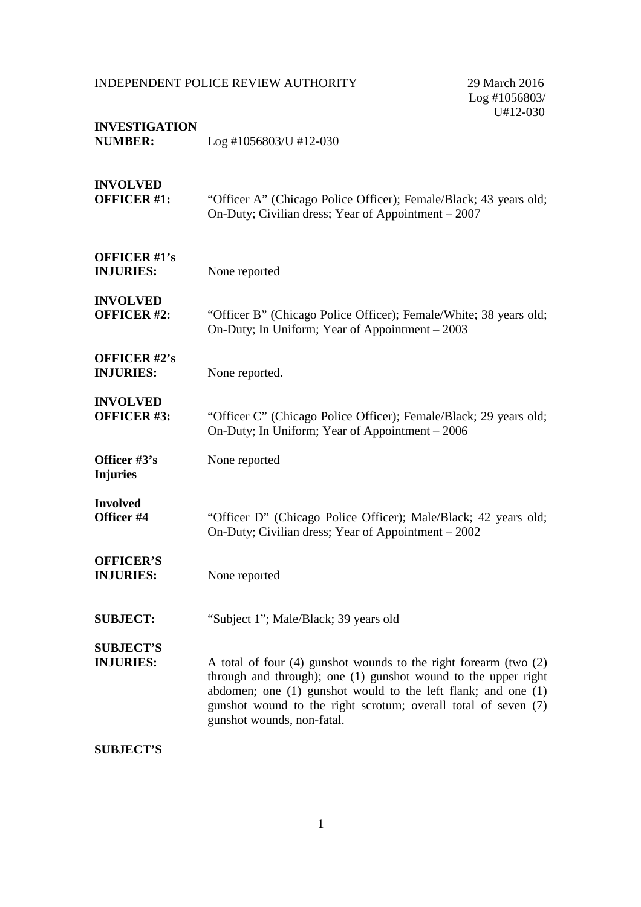Log #1056803/ U#12-030

| <b>INVESTIGATION</b><br><b>NUMBER:</b>  | $Log #1056803/U #12-030$                                                                                                                                                                                                                                                                                      |
|-----------------------------------------|---------------------------------------------------------------------------------------------------------------------------------------------------------------------------------------------------------------------------------------------------------------------------------------------------------------|
| <b>INVOLVED</b><br><b>OFFICER #1:</b>   | "Officer A" (Chicago Police Officer); Female/Black; 43 years old;<br>On-Duty; Civilian dress; Year of Appointment - 2007                                                                                                                                                                                      |
| <b>OFFICER #1's</b><br><b>INJURIES:</b> | None reported                                                                                                                                                                                                                                                                                                 |
| <b>INVOLVED</b><br><b>OFFICER #2:</b>   | "Officer B" (Chicago Police Officer); Female/White; 38 years old;<br>On-Duty; In Uniform; Year of Appointment – 2003                                                                                                                                                                                          |
| OFFICER #2's<br><b>INJURIES:</b>        | None reported.                                                                                                                                                                                                                                                                                                |
| <b>INVOLVED</b><br><b>OFFICER #3:</b>   | "Officer C" (Chicago Police Officer); Female/Black; 29 years old;<br>On-Duty; In Uniform; Year of Appointment – 2006                                                                                                                                                                                          |
| Officer #3's<br><b>Injuries</b>         | None reported                                                                                                                                                                                                                                                                                                 |
| <b>Involved</b><br>Officer #4           | "Officer D" (Chicago Police Officer); Male/Black; 42 years old;<br>On-Duty; Civilian dress; Year of Appointment – 2002                                                                                                                                                                                        |
| <b>OFFICER'S</b><br><b>INJURIES:</b>    | None reported                                                                                                                                                                                                                                                                                                 |
| <b>SUBJECT:</b>                         | "Subject 1"; Male/Black; 39 years old                                                                                                                                                                                                                                                                         |
| <b>SUBJECT'S</b><br><b>INJURIES:</b>    | A total of four $(4)$ gunshot wounds to the right forearm (two $(2)$ )<br>through and through); one (1) gunshot wound to the upper right<br>abdomen; one $(1)$ gunshot would to the left flank; and one $(1)$<br>gunshot wound to the right scrotum; overall total of seven (7)<br>gunshot wounds, non-fatal. |
| <b>SUBJECT'S</b>                        |                                                                                                                                                                                                                                                                                                               |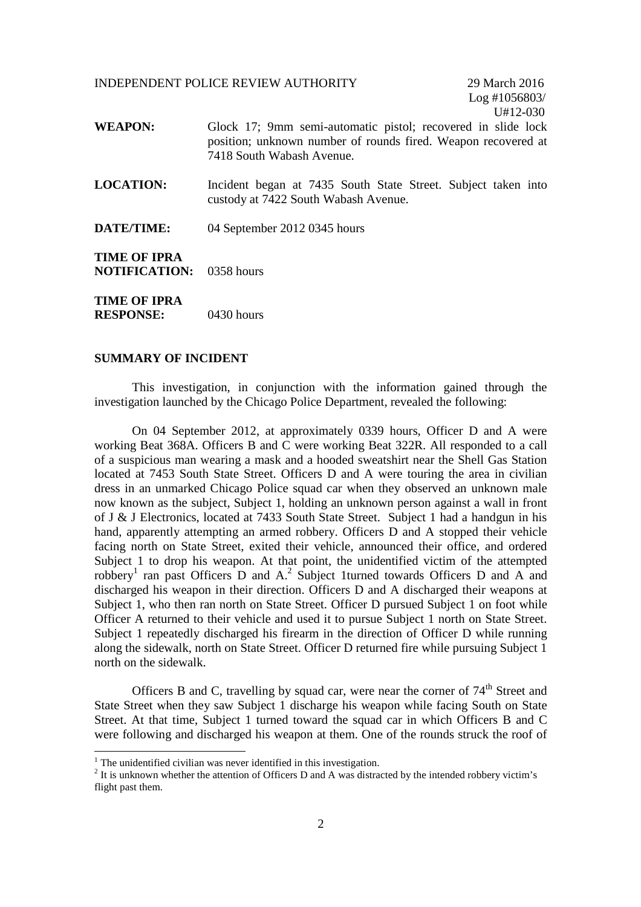Log #1056803/ U#12-030

- **WEAPON:** Glock 17; 9mm semi-automatic pistol; recovered in slide lock position; unknown number of rounds fired. Weapon recovered at 7418 South Wabash Avenue.
- **LOCATION:** Incident began at 7435 South State Street. Subject taken into custody at 7422 South Wabash Avenue.
- **DATE/TIME:** 04 September 2012 0345 hours

**TIME OF IPRA NOTIFICATION:** 0358 hours

**TIME OF IPRA RESPONSE:** 0430 hours

### **SUMMARY OF INCIDENT**

This investigation, in conjunction with the information gained through the investigation launched by the Chicago Police Department, revealed the following:

On 04 September 2012, at approximately 0339 hours, Officer D and A were working Beat 368A. Officers B and C were working Beat 322R. All responded to a call of a suspicious man wearing a mask and a hooded sweatshirt near the Shell Gas Station located at 7453 South State Street. Officers D and A were touring the area in civilian dress in an unmarked Chicago Police squad car when they observed an unknown male now known as the subject, Subject 1, holding an unknown person against a wall in front of J & J Electronics, located at 7433 South State Street. Subject 1 had a handgun in his hand, apparently attempting an armed robbery. Officers D and A stopped their vehicle facing north on State Street, exited their vehicle, announced their office, and ordered Subject 1 to drop his weapon. At that point, the unidentified victim of the attempted robbery<sup>1</sup> ran past Officers D and A.<sup>2</sup> Subject 1turned towards Officers D and A and discharged his weapon in their direction. Officers D and A discharged their weapons at Subject 1, who then ran north on State Street. Officer D pursued Subject 1 on foot while Officer A returned to their vehicle and used it to pursue Subject 1 north on State Street. Subject 1 repeatedly discharged his firearm in the direction of Officer D while running along the sidewalk, north on State Street. Officer D returned fire while pursuing Subject 1 north on the sidewalk.

Officers B and C, travelling by squad car, were near the corner of  $74<sup>th</sup>$  Street and State Street when they saw Subject 1 discharge his weapon while facing South on State Street. At that time, Subject 1 turned toward the squad car in which Officers B and C were following and discharged his weapon at them. One of the rounds struck the roof of

<sup>&</sup>lt;sup>1</sup> The unidentified civilian was never identified in this investigation.

 $2$  It is unknown whether the attention of Officers D and A was distracted by the intended robbery victim's flight past them.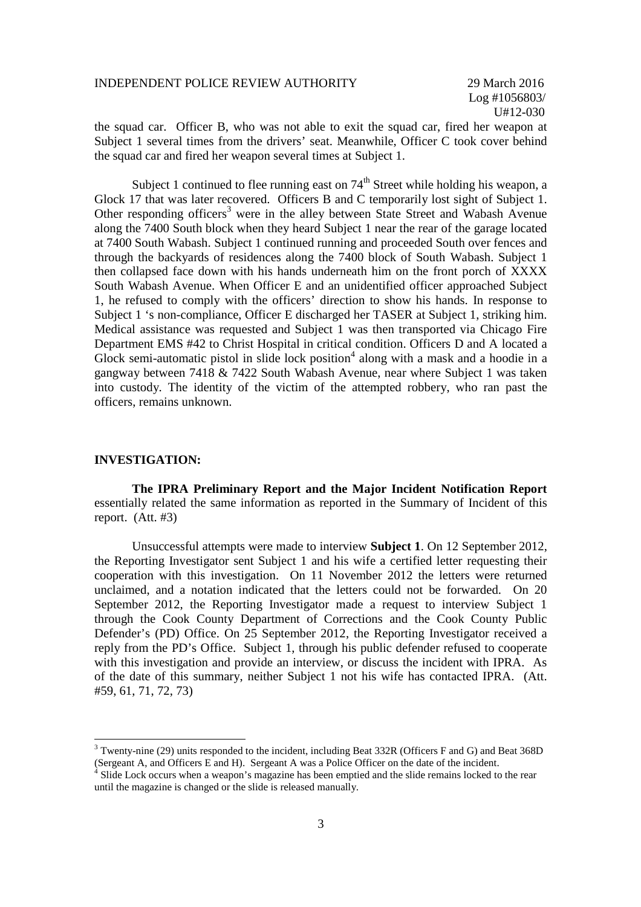the squad car. Officer B, who was not able to exit the squad car, fired her weapon at Subject 1 several times from the drivers' seat. Meanwhile, Officer C took cover behind the squad car and fired her weapon several times at Subject 1.

Subject 1 continued to flee running east on  $74<sup>th</sup>$  Street while holding his weapon, a Glock 17 that was later recovered. Officers B and C temporarily lost sight of Subject 1. Other responding officers<sup>3</sup> were in the alley between State Street and Wabash Avenue along the 7400 South block when they heard Subject 1 near the rear of the garage located at 7400 South Wabash. Subject 1 continued running and proceeded South over fences and through the backyards of residences along the 7400 block of South Wabash. Subject 1 then collapsed face down with his hands underneath him on the front porch of XXXX South Wabash Avenue. When Officer E and an unidentified officer approached Subject 1, he refused to comply with the officers' direction to show his hands. In response to Subject 1 's non-compliance, Officer E discharged her TASER at Subject 1, striking him. Medical assistance was requested and Subject 1 was then transported via Chicago Fire Department EMS #42 to Christ Hospital in critical condition. Officers D and A located a Glock semi-automatic pistol in slide lock position<sup>4</sup> along with a mask and a hoodie in a gangway between 7418 & 7422 South Wabash Avenue, near where Subject 1 was taken into custody. The identity of the victim of the attempted robbery, who ran past the officers, remains unknown.

#### **INVESTIGATION:**

**The IPRA Preliminary Report and the Major Incident Notification Report** essentially related the same information as reported in the Summary of Incident of this report. (Att. #3)

Unsuccessful attempts were made to interview **Subject 1**. On 12 September 2012, the Reporting Investigator sent Subject 1 and his wife a certified letter requesting their cooperation with this investigation. On 11 November 2012 the letters were returned unclaimed, and a notation indicated that the letters could not be forwarded. On 20 September 2012, the Reporting Investigator made a request to interview Subject 1 through the Cook County Department of Corrections and the Cook County Public Defender's (PD) Office. On 25 September 2012, the Reporting Investigator received a reply from the PD's Office. Subject 1, through his public defender refused to cooperate with this investigation and provide an interview, or discuss the incident with IPRA. As of the date of this summary, neither Subject 1 not his wife has contacted IPRA. (Att. #59, 61, 71, 72, 73)

<sup>3</sup> Twenty-nine (29) units responded to the incident, including Beat 332R (Officers F and G) and Beat 368D (Sergeant A, and Officers E and H). Sergeant A was a Police Officer on the date of the incident.

 $4 \overline{4}$  Slide Lock occurs when a weapon's magazine has been emptied and the slide remains locked to the rear until the magazine is changed or the slide is released manually.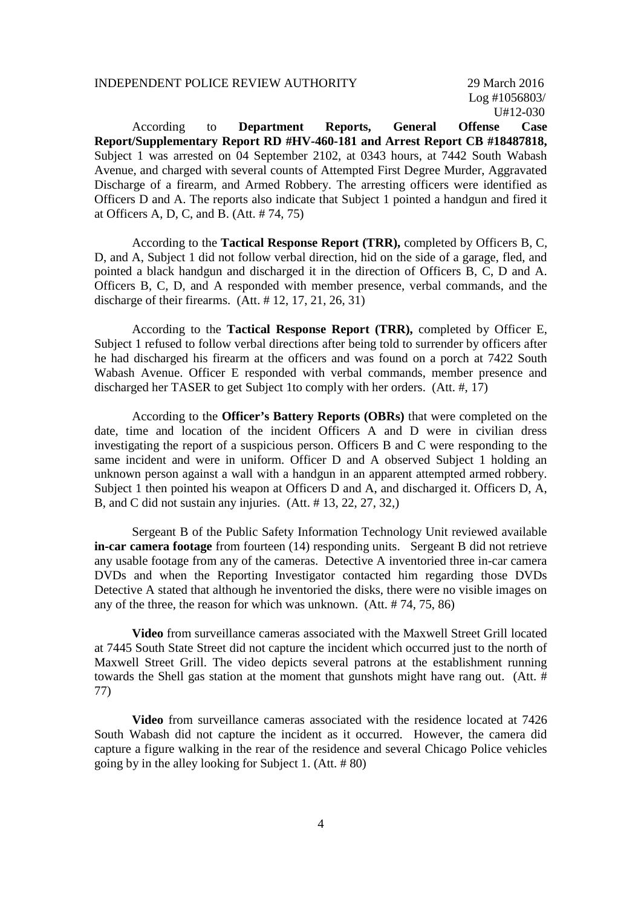Log #1056803/ U#12-030

According to **Department Reports, General Offense Case Report/Supplementary Report RD #HV-460-181 and Arrest Report CB #18487818,** Subject 1 was arrested on 04 September 2102, at 0343 hours, at 7442 South Wabash Avenue, and charged with several counts of Attempted First Degree Murder, Aggravated Discharge of a firearm, and Armed Robbery. The arresting officers were identified as Officers D and A. The reports also indicate that Subject 1 pointed a handgun and fired it at Officers A, D, C, and B. (Att. # 74, 75)

According to the **Tactical Response Report (TRR),** completed by Officers B, C, D, and A, Subject 1 did not follow verbal direction, hid on the side of a garage, fled, and pointed a black handgun and discharged it in the direction of Officers B, C, D and A. Officers B, C, D, and A responded with member presence, verbal commands, and the discharge of their firearms.  $(Att. # 12, 17, 21, 26, 31)$ 

According to the **Tactical Response Report (TRR),** completed by Officer E, Subject 1 refused to follow verbal directions after being told to surrender by officers after he had discharged his firearm at the officers and was found on a porch at 7422 South Wabash Avenue. Officer E responded with verbal commands, member presence and discharged her TASER to get Subject 1to comply with her orders. (Att. #, 17)

According to the **Officer's Battery Reports (OBRs)** that were completed on the date, time and location of the incident Officers A and D were in civilian dress investigating the report of a suspicious person. Officers B and C were responding to the same incident and were in uniform. Officer D and A observed Subject 1 holding an unknown person against a wall with a handgun in an apparent attempted armed robbery. Subject 1 then pointed his weapon at Officers D and A, and discharged it. Officers D, A, B, and C did not sustain any injuries. (Att. # 13, 22, 27, 32,)

Sergeant B of the Public Safety Information Technology Unit reviewed available **in-car camera footage** from fourteen (14) responding units. Sergeant B did not retrieve any usable footage from any of the cameras. Detective A inventoried three in-car camera DVDs and when the Reporting Investigator contacted him regarding those DVDs Detective A stated that although he inventoried the disks, there were no visible images on any of the three, the reason for which was unknown. (Att. # 74, 75, 86)

**Video** from surveillance cameras associated with the Maxwell Street Grill located at 7445 South State Street did not capture the incident which occurred just to the north of Maxwell Street Grill. The video depicts several patrons at the establishment running towards the Shell gas station at the moment that gunshots might have rang out. (Att. # 77)

**Video** from surveillance cameras associated with the residence located at 7426 South Wabash did not capture the incident as it occurred. However, the camera did capture a figure walking in the rear of the residence and several Chicago Police vehicles going by in the alley looking for Subject 1. (Att. # 80)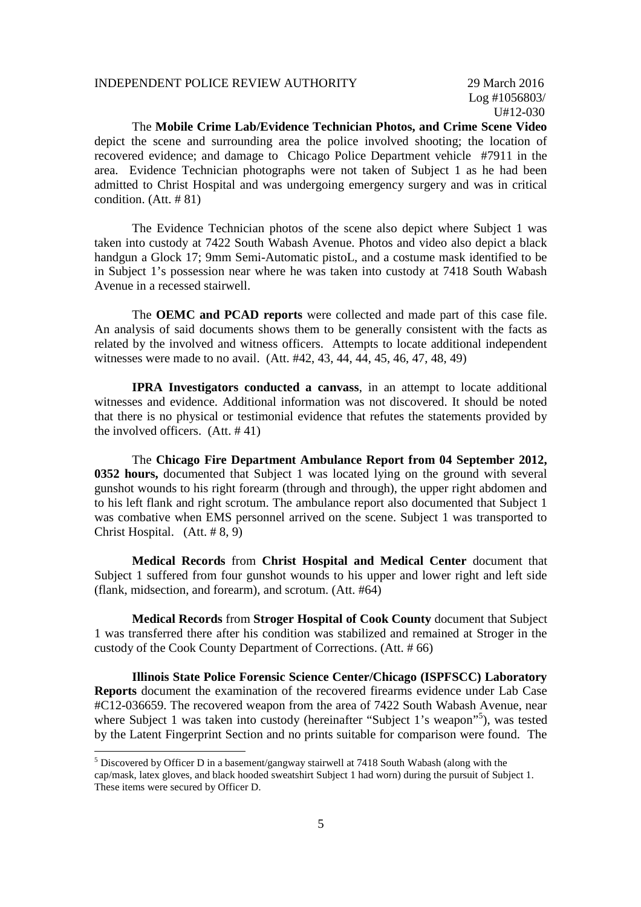Log #1056803/ U#12-030

The **Mobile Crime Lab/Evidence Technician Photos, and Crime Scene Video** depict the scene and surrounding area the police involved shooting; the location of recovered evidence; and damage to Chicago Police Department vehicle #7911 in the area. Evidence Technician photographs were not taken of Subject 1 as he had been admitted to Christ Hospital and was undergoing emergency surgery and was in critical condition. (Att. # 81)

The Evidence Technician photos of the scene also depict where Subject 1 was taken into custody at 7422 South Wabash Avenue. Photos and video also depict a black handgun a Glock 17; 9mm Semi-Automatic pistoL, and a costume mask identified to be in Subject 1's possession near where he was taken into custody at 7418 South Wabash Avenue in a recessed stairwell.

The **OEMC and PCAD reports** were collected and made part of this case file. An analysis of said documents shows them to be generally consistent with the facts as related by the involved and witness officers. Attempts to locate additional independent witnesses were made to no avail. (Att. #42, 43, 44, 44, 45, 46, 47, 48, 49)

**IPRA Investigators conducted a canvass**, in an attempt to locate additional witnesses and evidence. Additional information was not discovered. It should be noted that there is no physical or testimonial evidence that refutes the statements provided by the involved officers. (Att. # 41)

The **Chicago Fire Department Ambulance Report from 04 September 2012, 0352 hours,** documented that Subject 1 was located lying on the ground with several gunshot wounds to his right forearm (through and through), the upper right abdomen and to his left flank and right scrotum. The ambulance report also documented that Subject 1 was combative when EMS personnel arrived on the scene. Subject 1 was transported to Christ Hospital. (Att. # 8, 9)

**Medical Records** from **Christ Hospital and Medical Center** document that Subject 1 suffered from four gunshot wounds to his upper and lower right and left side (flank, midsection, and forearm), and scrotum. (Att. #64)

**Medical Records** from **Stroger Hospital of Cook County** document that Subject 1 was transferred there after his condition was stabilized and remained at Stroger in the custody of the Cook County Department of Corrections. (Att. # 66)

**Illinois State Police Forensic Science Center/Chicago (ISPFSCC) Laboratory Reports** document the examination of the recovered firearms evidence under Lab Case #C12-036659. The recovered weapon from the area of 7422 South Wabash Avenue, near where Subject 1 was taken into custody (hereinafter "Subject 1's weapon"<sup>5</sup>), was tested by the Latent Fingerprint Section and no prints suitable for comparison were found. The

<sup>&</sup>lt;sup>5</sup> Discovered by Officer D in a basement/gangway stairwell at 7418 South Wabash (along with the cap/mask, latex gloves, and black hooded sweatshirt Subject 1 had worn) during the pursuit of Subject 1. These items were secured by Officer D.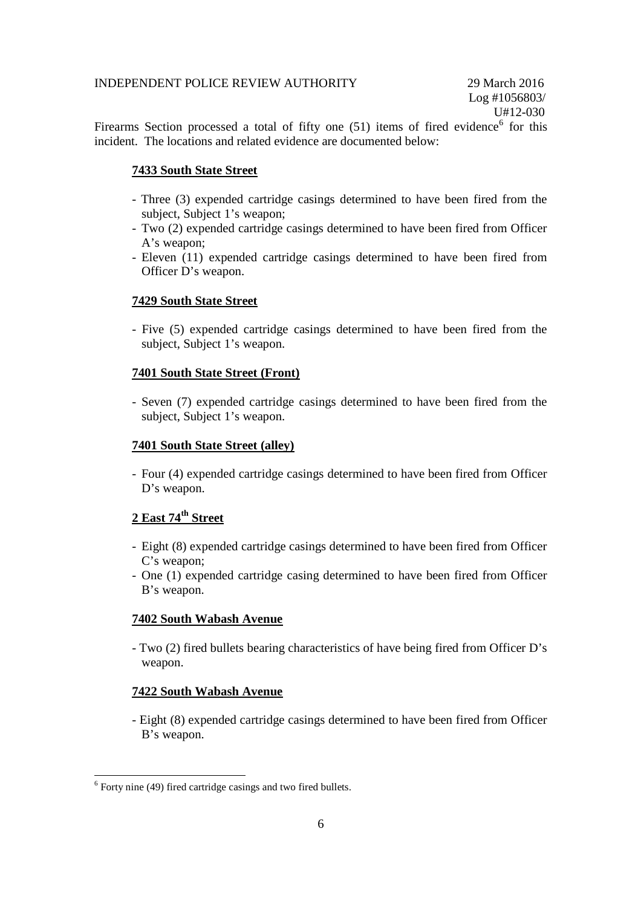Firearms Section processed a total of fifty one  $(51)$  items of fired evidence<sup>6</sup> for this incident. The locations and related evidence are documented below:

# **7433 South State Street**

- Three (3) expended cartridge casings determined to have been fired from the subject, Subject 1's weapon;
- Two (2) expended cartridge casings determined to have been fired from Officer A's weapon;
- Eleven (11) expended cartridge casings determined to have been fired from Officer D's weapon.

# **7429 South State Street**

- Five (5) expended cartridge casings determined to have been fired from the subject, Subject 1's weapon.

### **7401 South State Street (Front)**

- Seven (7) expended cartridge casings determined to have been fired from the subject, Subject 1's weapon.

### **7401 South State Street (alley)**

- Four (4) expended cartridge casings determined to have been fired from Officer D's weapon.

# **2 East 74th Street**

- Eight (8) expended cartridge casings determined to have been fired from Officer C's weapon;
- One (1) expended cartridge casing determined to have been fired from Officer B's weapon.

### **7402 South Wabash Avenue**

- Two (2) fired bullets bearing characteristics of have being fired from Officer D's weapon.

# **7422 South Wabash Avenue**

- Eight (8) expended cartridge casings determined to have been fired from Officer B's weapon.

<sup>&</sup>lt;sup>6</sup> Forty nine (49) fired cartridge casings and two fired bullets.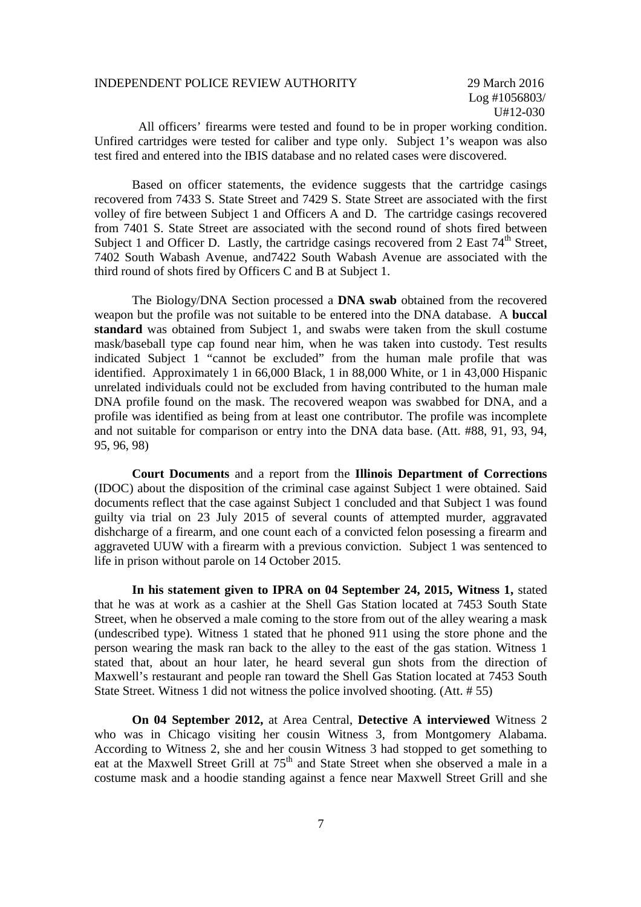Log #1056803/ U#12-030

All officers' firearms were tested and found to be in proper working condition. Unfired cartridges were tested for caliber and type only. Subject 1's weapon was also test fired and entered into the IBIS database and no related cases were discovered.

Based on officer statements, the evidence suggests that the cartridge casings recovered from 7433 S. State Street and 7429 S. State Street are associated with the first volley of fire between Subject 1 and Officers A and D. The cartridge casings recovered from 7401 S. State Street are associated with the second round of shots fired between Subject 1 and Officer D. Lastly, the cartridge casings recovered from 2 East  $74<sup>th</sup>$  Street, 7402 South Wabash Avenue, and7422 South Wabash Avenue are associated with the third round of shots fired by Officers C and B at Subject 1.

The Biology/DNA Section processed a **DNA swab** obtained from the recovered weapon but the profile was not suitable to be entered into the DNA database. A **buccal standard** was obtained from Subject 1, and swabs were taken from the skull costume mask/baseball type cap found near him, when he was taken into custody. Test results indicated Subject 1 "cannot be excluded" from the human male profile that was identified. Approximately 1 in 66,000 Black, 1 in 88,000 White, or 1 in 43,000 Hispanic unrelated individuals could not be excluded from having contributed to the human male DNA profile found on the mask. The recovered weapon was swabbed for DNA, and a profile was identified as being from at least one contributor. The profile was incomplete and not suitable for comparison or entry into the DNA data base. (Att. #88, 91, 93, 94, 95, 96, 98)

**Court Documents** and a report from the **Illinois Department of Corrections** (IDOC) about the disposition of the criminal case against Subject 1 were obtained. Said documents reflect that the case against Subject 1 concluded and that Subject 1 was found guilty via trial on 23 July 2015 of several counts of attempted murder, aggravated dishcharge of a firearm, and one count each of a convicted felon posessing a firearm and aggraveted UUW with a firearm with a previous conviction. Subject 1 was sentenced to life in prison without parole on 14 October 2015.

**In his statement given to IPRA on 04 September 24, 2015, Witness 1,** stated that he was at work as a cashier at the Shell Gas Station located at 7453 South State Street, when he observed a male coming to the store from out of the alley wearing a mask (undescribed type). Witness 1 stated that he phoned 911 using the store phone and the person wearing the mask ran back to the alley to the east of the gas station. Witness 1 stated that, about an hour later, he heard several gun shots from the direction of Maxwell's restaurant and people ran toward the Shell Gas Station located at 7453 South State Street. Witness 1 did not witness the police involved shooting. (Att. # 55)

**On 04 September 2012,** at Area Central, **Detective A interviewed** Witness 2 who was in Chicago visiting her cousin Witness 3, from Montgomery Alabama. According to Witness 2, she and her cousin Witness 3 had stopped to get something to eat at the Maxwell Street Grill at 75<sup>th</sup> and State Street when she observed a male in a costume mask and a hoodie standing against a fence near Maxwell Street Grill and she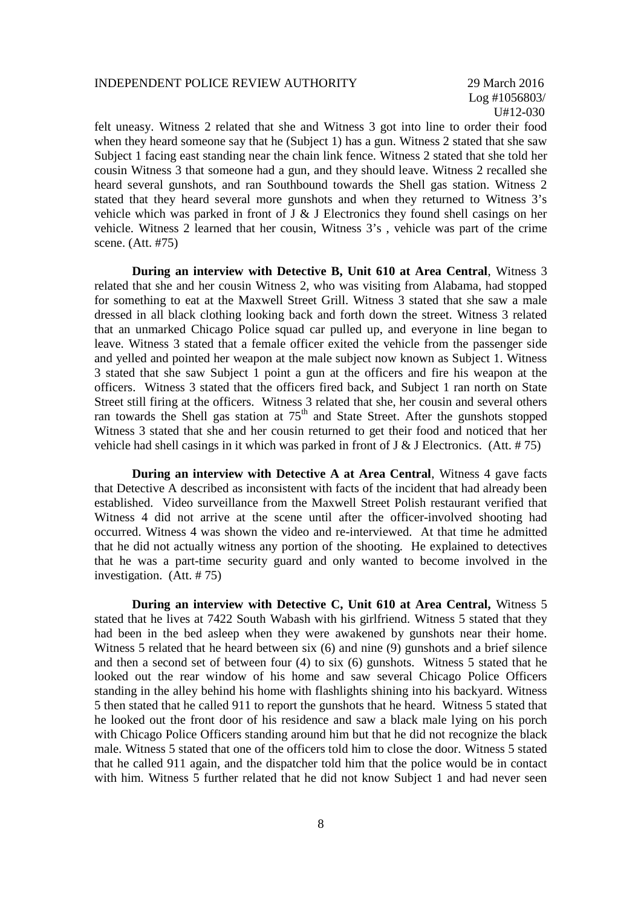Log #1056803/ U#12-030

felt uneasy. Witness 2 related that she and Witness 3 got into line to order their food when they heard someone say that he (Subject 1) has a gun. Witness 2 stated that she saw Subject 1 facing east standing near the chain link fence. Witness 2 stated that she told her cousin Witness 3 that someone had a gun, and they should leave. Witness 2 recalled she heard several gunshots, and ran Southbound towards the Shell gas station. Witness 2 stated that they heard several more gunshots and when they returned to Witness 3's vehicle which was parked in front of J & J Electronics they found shell casings on her vehicle. Witness 2 learned that her cousin, Witness 3's , vehicle was part of the crime scene. (Att. #75)

**During an interview with Detective B, Unit 610 at Area Central**, Witness 3 related that she and her cousin Witness 2, who was visiting from Alabama, had stopped for something to eat at the Maxwell Street Grill. Witness 3 stated that she saw a male dressed in all black clothing looking back and forth down the street. Witness 3 related that an unmarked Chicago Police squad car pulled up, and everyone in line began to leave. Witness 3 stated that a female officer exited the vehicle from the passenger side and yelled and pointed her weapon at the male subject now known as Subject 1. Witness 3 stated that she saw Subject 1 point a gun at the officers and fire his weapon at the officers. Witness 3 stated that the officers fired back, and Subject 1 ran north on State Street still firing at the officers. Witness 3 related that she, her cousin and several others ran towards the Shell gas station at  $75<sup>th</sup>$  and State Street. After the gunshots stopped Witness 3 stated that she and her cousin returned to get their food and noticed that her vehicle had shell casings in it which was parked in front of J & J Electronics. (Att.  $# 75$ )

**During an interview with Detective A at Area Central**, Witness 4 gave facts that Detective A described as inconsistent with facts of the incident that had already been established. Video surveillance from the Maxwell Street Polish restaurant verified that Witness 4 did not arrive at the scene until after the officer-involved shooting had occurred. Witness 4 was shown the video and re-interviewed. At that time he admitted that he did not actually witness any portion of the shooting. He explained to detectives that he was a part-time security guard and only wanted to become involved in the investigation. (Att. # 75)

**During an interview with Detective C, Unit 610 at Area Central,** Witness 5 stated that he lives at 7422 South Wabash with his girlfriend. Witness 5 stated that they had been in the bed asleep when they were awakened by gunshots near their home. Witness 5 related that he heard between six (6) and nine (9) gunshots and a brief silence and then a second set of between four (4) to six (6) gunshots. Witness 5 stated that he looked out the rear window of his home and saw several Chicago Police Officers standing in the alley behind his home with flashlights shining into his backyard. Witness 5 then stated that he called 911 to report the gunshots that he heard. Witness 5 stated that he looked out the front door of his residence and saw a black male lying on his porch with Chicago Police Officers standing around him but that he did not recognize the black male. Witness 5 stated that one of the officers told him to close the door. Witness 5 stated that he called 911 again, and the dispatcher told him that the police would be in contact with him. Witness 5 further related that he did not know Subject 1 and had never seen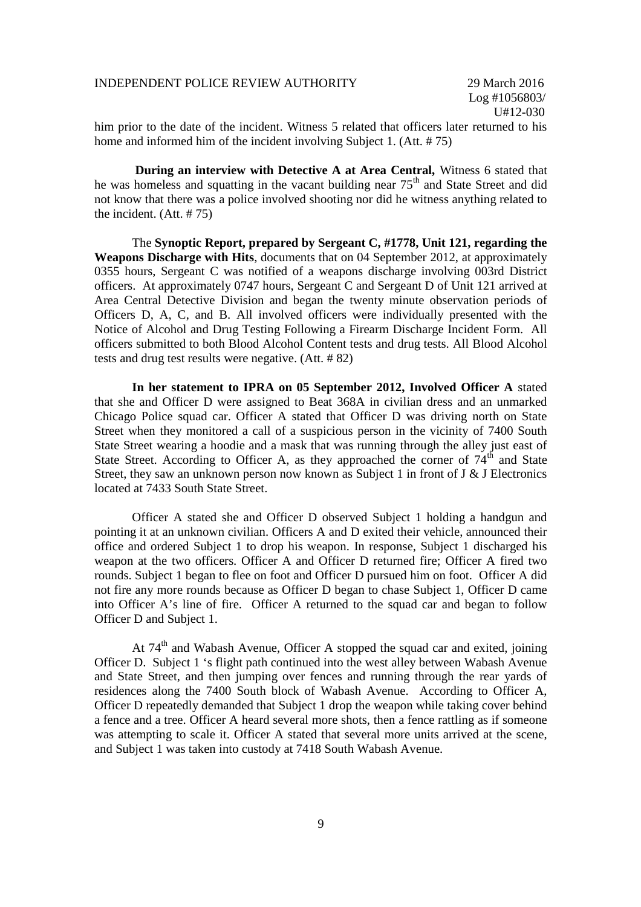him prior to the date of the incident. Witness 5 related that officers later returned to his home and informed him of the incident involving Subject 1. (Att. # 75)

**During an interview with Detective A at Area Central,** Witness 6 stated that he was homeless and squatting in the vacant building near  $75<sup>th</sup>$  and State Street and did not know that there was a police involved shooting nor did he witness anything related to the incident. (Att. # 75)

The **Synoptic Report, prepared by Sergeant C, #1778, Unit 121, regarding the Weapons Discharge with Hits**, documents that on 04 September 2012, at approximately 0355 hours, Sergeant C was notified of a weapons discharge involving 003rd District officers. At approximately 0747 hours, Sergeant C and Sergeant D of Unit 121 arrived at Area Central Detective Division and began the twenty minute observation periods of Officers D, A, C, and B. All involved officers were individually presented with the Notice of Alcohol and Drug Testing Following a Firearm Discharge Incident Form. All officers submitted to both Blood Alcohol Content tests and drug tests. All Blood Alcohol tests and drug test results were negative. (Att. # 82)

**In her statement to IPRA on 05 September 2012, Involved Officer A** stated that she and Officer D were assigned to Beat 368A in civilian dress and an unmarked Chicago Police squad car. Officer A stated that Officer D was driving north on State Street when they monitored a call of a suspicious person in the vicinity of 7400 South State Street wearing a hoodie and a mask that was running through the alley just east of State Street. According to Officer A, as they approached the corner of  $74<sup>th</sup>$  and State Street, they saw an unknown person now known as Subject 1 in front of J & J Electronics located at 7433 South State Street.

Officer A stated she and Officer D observed Subject 1 holding a handgun and pointing it at an unknown civilian. Officers A and D exited their vehicle, announced their office and ordered Subject 1 to drop his weapon. In response, Subject 1 discharged his weapon at the two officers. Officer A and Officer D returned fire; Officer A fired two rounds. Subject 1 began to flee on foot and Officer D pursued him on foot. Officer A did not fire any more rounds because as Officer D began to chase Subject 1, Officer D came into Officer A's line of fire. Officer A returned to the squad car and began to follow Officer D and Subject 1.

At 74<sup>th</sup> and Wabash Avenue, Officer A stopped the squad car and exited, joining Officer D. Subject 1 's flight path continued into the west alley between Wabash Avenue and State Street, and then jumping over fences and running through the rear yards of residences along the 7400 South block of Wabash Avenue. According to Officer A, Officer D repeatedly demanded that Subject 1 drop the weapon while taking cover behind a fence and a tree. Officer A heard several more shots, then a fence rattling as if someone was attempting to scale it. Officer A stated that several more units arrived at the scene, and Subject 1 was taken into custody at 7418 South Wabash Avenue.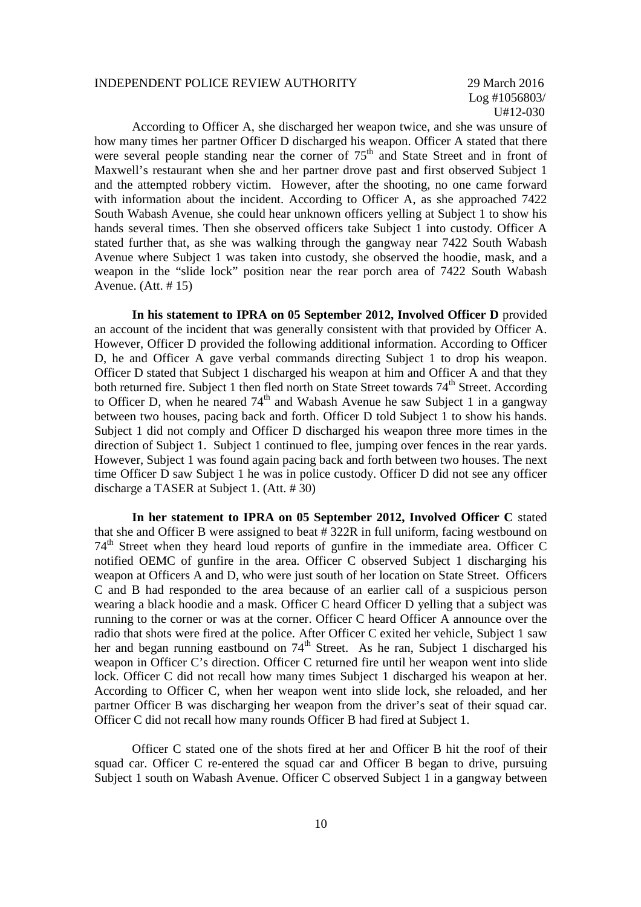Log #1056803/ U#12-030

According to Officer A, she discharged her weapon twice, and she was unsure of how many times her partner Officer D discharged his weapon. Officer A stated that there were several people standing near the corner of  $75<sup>th</sup>$  and State Street and in front of Maxwell's restaurant when she and her partner drove past and first observed Subject 1 and the attempted robbery victim. However, after the shooting, no one came forward with information about the incident. According to Officer A, as she approached 7422 South Wabash Avenue, she could hear unknown officers yelling at Subject 1 to show his hands several times. Then she observed officers take Subject 1 into custody. Officer A stated further that, as she was walking through the gangway near 7422 South Wabash Avenue where Subject 1 was taken into custody, she observed the hoodie, mask, and a weapon in the "slide lock" position near the rear porch area of 7422 South Wabash Avenue. (Att. # 15)

**In his statement to IPRA on 05 September 2012, Involved Officer D** provided an account of the incident that was generally consistent with that provided by Officer A. However, Officer D provided the following additional information. According to Officer D, he and Officer A gave verbal commands directing Subject 1 to drop his weapon. Officer D stated that Subject 1 discharged his weapon at him and Officer A and that they both returned fire. Subject 1 then fled north on State Street towards 74<sup>th</sup> Street. According to Officer D, when he neared  $74<sup>th</sup>$  and Wabash Avenue he saw Subject 1 in a gangway between two houses, pacing back and forth. Officer D told Subject 1 to show his hands. Subject 1 did not comply and Officer D discharged his weapon three more times in the direction of Subject 1. Subject 1 continued to flee, jumping over fences in the rear yards. However, Subject 1 was found again pacing back and forth between two houses. The next time Officer D saw Subject 1 he was in police custody. Officer D did not see any officer discharge a TASER at Subject 1. (Att. # 30)

**In her statement to IPRA on 05 September 2012, Involved Officer C** stated that she and Officer B were assigned to beat # 322R in full uniform, facing westbound on  $74<sup>th</sup>$  Street when they heard loud reports of gunfire in the immediate area. Officer C notified OEMC of gunfire in the area. Officer C observed Subject 1 discharging his weapon at Officers A and D, who were just south of her location on State Street. Officers C and B had responded to the area because of an earlier call of a suspicious person wearing a black hoodie and a mask. Officer C heard Officer D yelling that a subject was running to the corner or was at the corner. Officer C heard Officer A announce over the radio that shots were fired at the police. After Officer C exited her vehicle, Subject 1 saw her and began running eastbound on 74<sup>th</sup> Street. As he ran, Subject 1 discharged his weapon in Officer C's direction. Officer C returned fire until her weapon went into slide lock. Officer C did not recall how many times Subject 1 discharged his weapon at her. According to Officer C, when her weapon went into slide lock, she reloaded, and her partner Officer B was discharging her weapon from the driver's seat of their squad car. Officer C did not recall how many rounds Officer B had fired at Subject 1.

Officer C stated one of the shots fired at her and Officer B hit the roof of their squad car. Officer C re-entered the squad car and Officer B began to drive, pursuing Subject 1 south on Wabash Avenue. Officer C observed Subject 1 in a gangway between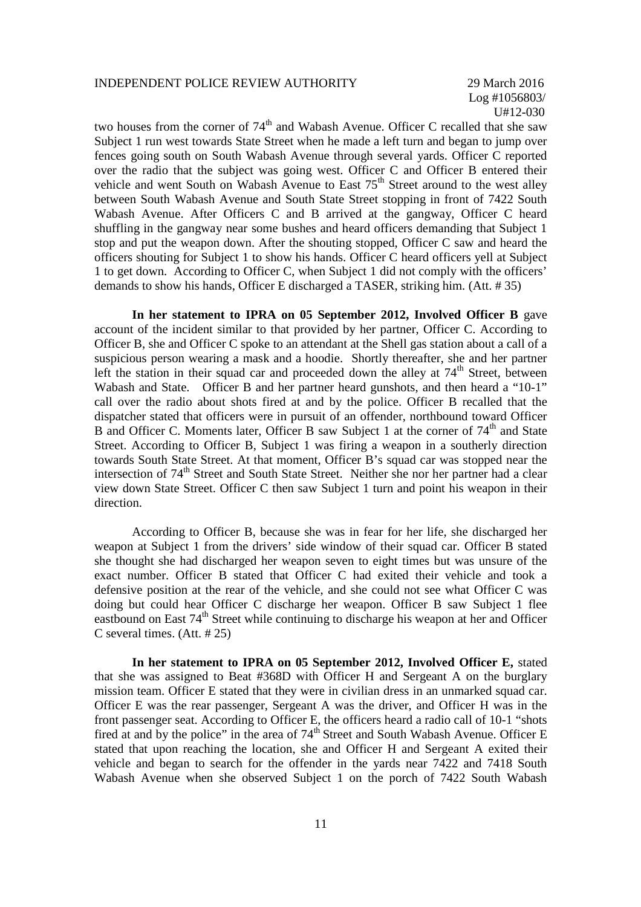Log #1056803/ U#12-030

two houses from the corner of  $74<sup>th</sup>$  and Wabash Avenue. Officer C recalled that she saw Subject 1 run west towards State Street when he made a left turn and began to jump over fences going south on South Wabash Avenue through several yards. Officer C reported over the radio that the subject was going west. Officer C and Officer B entered their vehicle and went South on Wabash Avenue to East  $75<sup>th</sup>$  Street around to the west alley between South Wabash Avenue and South State Street stopping in front of 7422 South Wabash Avenue. After Officers C and B arrived at the gangway, Officer C heard shuffling in the gangway near some bushes and heard officers demanding that Subject 1 stop and put the weapon down. After the shouting stopped, Officer C saw and heard the officers shouting for Subject 1 to show his hands. Officer C heard officers yell at Subject 1 to get down. According to Officer C, when Subject 1 did not comply with the officers' demands to show his hands, Officer E discharged a TASER, striking him. (Att. # 35)

**In her statement to IPRA on 05 September 2012, Involved Officer B** gave account of the incident similar to that provided by her partner, Officer C. According to Officer B, she and Officer C spoke to an attendant at the Shell gas station about a call of a suspicious person wearing a mask and a hoodie. Shortly thereafter, she and her partner left the station in their squad car and proceeded down the alley at  $74<sup>th</sup>$  Street, between Wabash and State. Officer B and her partner heard gunshots, and then heard a "10-1" call over the radio about shots fired at and by the police. Officer B recalled that the dispatcher stated that officers were in pursuit of an offender, northbound toward Officer B and Officer C. Moments later, Officer B saw Subject 1 at the corner of  $74<sup>th</sup>$  and State Street. According to Officer B, Subject 1 was firing a weapon in a southerly direction towards South State Street. At that moment, Officer B's squad car was stopped near the intersection of 74<sup>th</sup> Street and South State Street. Neither she nor her partner had a clear view down State Street. Officer C then saw Subject 1 turn and point his weapon in their direction.

According to Officer B, because she was in fear for her life, she discharged her weapon at Subject 1 from the drivers' side window of their squad car. Officer B stated she thought she had discharged her weapon seven to eight times but was unsure of the exact number. Officer B stated that Officer C had exited their vehicle and took a defensive position at the rear of the vehicle, and she could not see what Officer C was doing but could hear Officer C discharge her weapon. Officer B saw Subject 1 flee eastbound on East 74<sup>th</sup> Street while continuing to discharge his weapon at her and Officer C several times. (Att. # 25)

**In her statement to IPRA on 05 September 2012, Involved Officer E,** stated that she was assigned to Beat #368D with Officer H and Sergeant A on the burglary mission team. Officer E stated that they were in civilian dress in an unmarked squad car. Officer E was the rear passenger, Sergeant A was the driver, and Officer H was in the front passenger seat. According to Officer E, the officers heard a radio call of 10-1 "shots fired at and by the police" in the area of  $74<sup>th</sup>$  Street and South Wabash Avenue. Officer E stated that upon reaching the location, she and Officer H and Sergeant A exited their vehicle and began to search for the offender in the yards near 7422 and 7418 South Wabash Avenue when she observed Subject 1 on the porch of 7422 South Wabash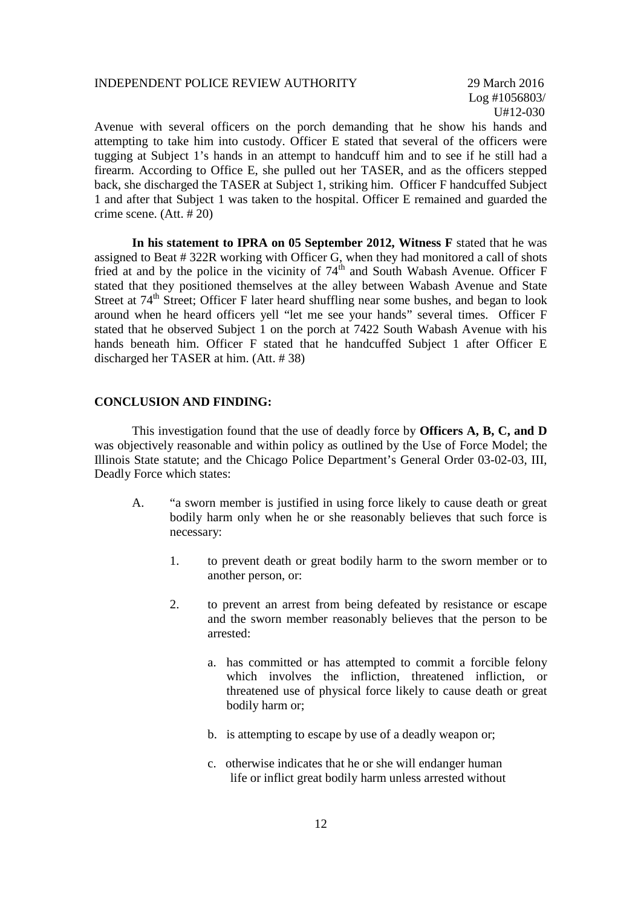Log #1056803/ U#12-030

Avenue with several officers on the porch demanding that he show his hands and attempting to take him into custody. Officer E stated that several of the officers were tugging at Subject 1's hands in an attempt to handcuff him and to see if he still had a firearm. According to Office E, she pulled out her TASER, and as the officers stepped back, she discharged the TASER at Subject 1, striking him. Officer F handcuffed Subject 1 and after that Subject 1 was taken to the hospital. Officer E remained and guarded the crime scene. (Att. # 20)

**In his statement to IPRA on 05 September 2012, Witness F** stated that he was assigned to Beat # 322R working with Officer G, when they had monitored a call of shots fried at and by the police in the vicinity of  $74<sup>th</sup>$  and South Wabash Avenue. Officer F stated that they positioned themselves at the alley between Wabash Avenue and State Street at 74<sup>th</sup> Street; Officer F later heard shuffling near some bushes, and began to look around when he heard officers yell "let me see your hands" several times. Officer F stated that he observed Subject 1 on the porch at 7422 South Wabash Avenue with his hands beneath him. Officer F stated that he handcuffed Subject 1 after Officer E discharged her TASER at him. (Att. # 38)

#### **CONCLUSION AND FINDING:**

This investigation found that the use of deadly force by **Officers A, B, C, and D** was objectively reasonable and within policy as outlined by the Use of Force Model; the Illinois State statute; and the Chicago Police Department's General Order 03-02-03, III, Deadly Force which states:

- A. "a sworn member is justified in using force likely to cause death or great bodily harm only when he or she reasonably believes that such force is necessary:
	- 1. to prevent death or great bodily harm to the sworn member or to another person, or:
	- 2. to prevent an arrest from being defeated by resistance or escape and the sworn member reasonably believes that the person to be arrested:
		- a. has committed or has attempted to commit a forcible felony which involves the infliction, threatened infliction, or threatened use of physical force likely to cause death or great bodily harm or;
		- b. is attempting to escape by use of a deadly weapon or;
		- c. otherwise indicates that he or she will endanger human life or inflict great bodily harm unless arrested without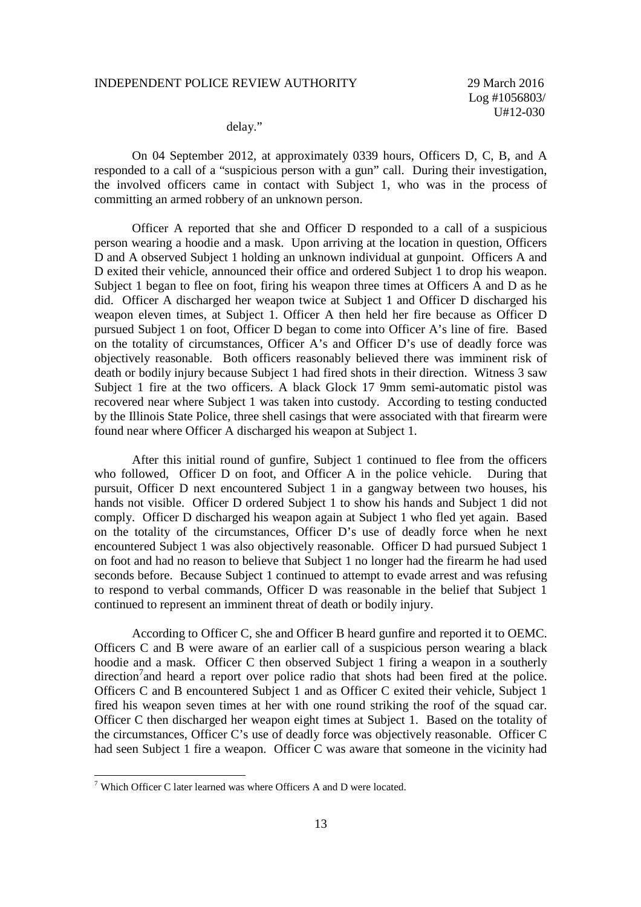delay."

On 04 September 2012, at approximately 0339 hours, Officers D, C, B, and A responded to a call of a "suspicious person with a gun" call. During their investigation, the involved officers came in contact with Subject 1, who was in the process of committing an armed robbery of an unknown person.

Officer A reported that she and Officer D responded to a call of a suspicious person wearing a hoodie and a mask. Upon arriving at the location in question, Officers D and A observed Subject 1 holding an unknown individual at gunpoint. Officers A and D exited their vehicle, announced their office and ordered Subject 1 to drop his weapon. Subject 1 began to flee on foot, firing his weapon three times at Officers A and D as he did. Officer A discharged her weapon twice at Subject 1 and Officer D discharged his weapon eleven times, at Subject 1. Officer A then held her fire because as Officer D pursued Subject 1 on foot, Officer D began to come into Officer A's line of fire. Based on the totality of circumstances, Officer A's and Officer D's use of deadly force was objectively reasonable. Both officers reasonably believed there was imminent risk of death or bodily injury because Subject 1 had fired shots in their direction. Witness 3 saw Subject 1 fire at the two officers. A black Glock 17 9mm semi-automatic pistol was recovered near where Subject 1 was taken into custody. According to testing conducted by the Illinois State Police, three shell casings that were associated with that firearm were found near where Officer A discharged his weapon at Subject 1.

After this initial round of gunfire, Subject 1 continued to flee from the officers who followed, Officer D on foot, and Officer A in the police vehicle. During that pursuit, Officer D next encountered Subject 1 in a gangway between two houses, his hands not visible. Officer D ordered Subject 1 to show his hands and Subject 1 did not comply. Officer D discharged his weapon again at Subject 1 who fled yet again. Based on the totality of the circumstances, Officer D's use of deadly force when he next encountered Subject 1 was also objectively reasonable. Officer D had pursued Subject 1 on foot and had no reason to believe that Subject 1 no longer had the firearm he had used seconds before. Because Subject 1 continued to attempt to evade arrest and was refusing to respond to verbal commands, Officer D was reasonable in the belief that Subject 1 continued to represent an imminent threat of death or bodily injury.

According to Officer C, she and Officer B heard gunfire and reported it to OEMC. Officers C and B were aware of an earlier call of a suspicious person wearing a black hoodie and a mask. Officer C then observed Subject 1 firing a weapon in a southerly direction<sup>7</sup> and heard a report over police radio that shots had been fired at the police. Officers C and B encountered Subject 1 and as Officer C exited their vehicle, Subject 1 fired his weapon seven times at her with one round striking the roof of the squad car. Officer C then discharged her weapon eight times at Subject 1. Based on the totality of the circumstances, Officer C's use of deadly force was objectively reasonable. Officer C had seen Subject 1 fire a weapon. Officer C was aware that someone in the vicinity had

 $7$  Which Officer C later learned was where Officers A and D were located.